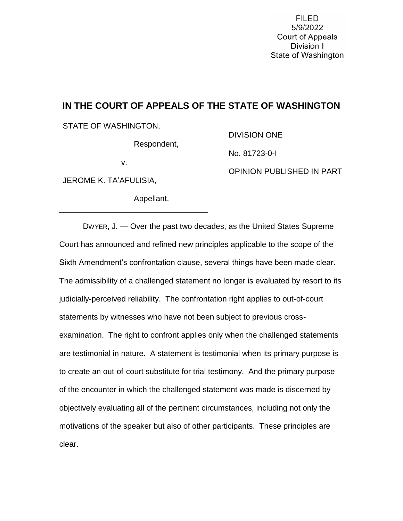**FILED** 5/9/2022 Court of Appeals Division I State of Washington

## **IN THE COURT OF APPEALS OF THE STATE OF WASHINGTON**

STATE OF WASHINGTON,

Respondent,

v.

JEROME K. TA'AFULISIA,

Appellant.

DIVISION ONE No. 81723-0-I OPINION PUBLISHED IN PART

DWYER, J. — Over the past two decades, as the United States Supreme Court has announced and refined new principles applicable to the scope of the Sixth Amendment's confrontation clause, several things have been made clear. The admissibility of a challenged statement no longer is evaluated by resort to its judicially-perceived reliability. The confrontation right applies to out-of-court statements by witnesses who have not been subject to previous crossexamination. The right to confront applies only when the challenged statements are testimonial in nature. A statement is testimonial when its primary purpose is to create an out-of-court substitute for trial testimony. And the primary purpose of the encounter in which the challenged statement was made is discerned by objectively evaluating all of the pertinent circumstances, including not only the motivations of the speaker but also of other participants. These principles are clear.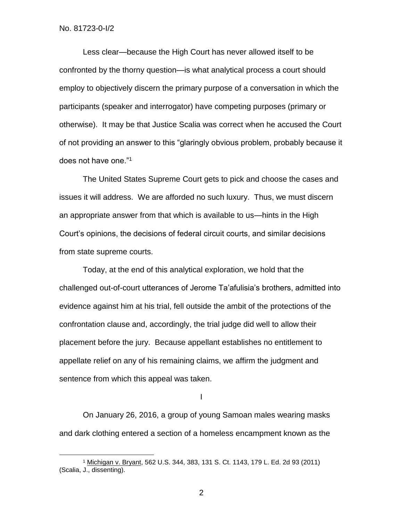$\overline{a}$ 

Less clear—because the High Court has never allowed itself to be confronted by the thorny question—is what analytical process a court should employ to objectively discern the primary purpose of a conversation in which the participants (speaker and interrogator) have competing purposes (primary or otherwise). It may be that Justice Scalia was correct when he accused the Court of not providing an answer to this "glaringly obvious problem, probably because it does not have one."<sup>1</sup>

The United States Supreme Court gets to pick and choose the cases and issues it will address. We are afforded no such luxury. Thus, we must discern an appropriate answer from that which is available to us—hints in the High Court's opinions, the decisions of federal circuit courts, and similar decisions from state supreme courts.

Today, at the end of this analytical exploration, we hold that the challenged out-of-court utterances of Jerome Ta'afulisia's brothers, admitted into evidence against him at his trial, fell outside the ambit of the protections of the confrontation clause and, accordingly, the trial judge did well to allow their placement before the jury. Because appellant establishes no entitlement to appellate relief on any of his remaining claims, we affirm the judgment and sentence from which this appeal was taken.

I

On January 26, 2016, a group of young Samoan males wearing masks and dark clothing entered a section of a homeless encampment known as the

<sup>1</sup> Michigan v. Bryant, 562 U.S. 344, 383, 131 S. Ct. 1143, 179 L. Ed. 2d 93 (2011) (Scalia, J., dissenting).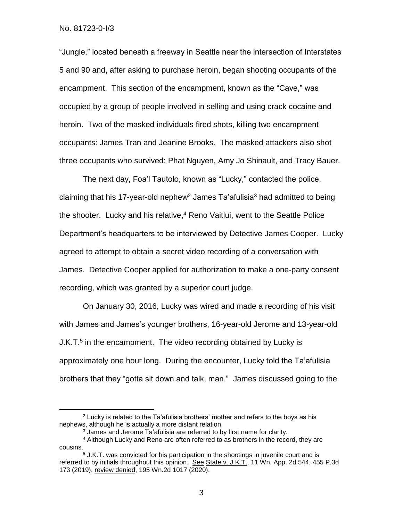$\overline{a}$ 

"Jungle," located beneath a freeway in Seattle near the intersection of Interstates 5 and 90 and, after asking to purchase heroin, began shooting occupants of the encampment. This section of the encampment, known as the "Cave," was occupied by a group of people involved in selling and using crack cocaine and heroin. Two of the masked individuals fired shots, killing two encampment occupants: James Tran and Jeanine Brooks. The masked attackers also shot three occupants who survived: Phat Nguyen, Amy Jo Shinault, and Tracy Bauer.

The next day, Foa'l Tautolo, known as "Lucky," contacted the police, claiming that his 17-year-old nephew<sup>2</sup> James Ta'afulisia<sup>3</sup> had admitted to being the shooter. Lucky and his relative, <sup>4</sup> Reno Vaitlui, went to the Seattle Police Department's headquarters to be interviewed by Detective James Cooper. Lucky agreed to attempt to obtain a secret video recording of a conversation with James. Detective Cooper applied for authorization to make a one-party consent recording, which was granted by a superior court judge.

On January 30, 2016, Lucky was wired and made a recording of his visit with James and James's younger brothers, 16-year-old Jerome and 13-year-old J.K.T.<sup>5</sup> in the encampment. The video recording obtained by Lucky is approximately one hour long. During the encounter, Lucky told the Ta'afulisia brothers that they "gotta sit down and talk, man." James discussed going to the

<sup>2</sup> Lucky is related to the Ta'afulisia brothers' mother and refers to the boys as his nephews, although he is actually a more distant relation.

<sup>&</sup>lt;sup>3</sup> James and Jerome Ta'afulisia are referred to by first name for clarity.

<sup>4</sup> Although Lucky and Reno are often referred to as brothers in the record, they are cousins.

<sup>5</sup> J.K.T. was convicted for his participation in the shootings in juvenile court and is referred to by initials throughout this opinion. See State v. J.K.T., 11 Wn. App. 2d 544, 455 P.3d 173 (2019), review denied, 195 Wn.2d 1017 (2020).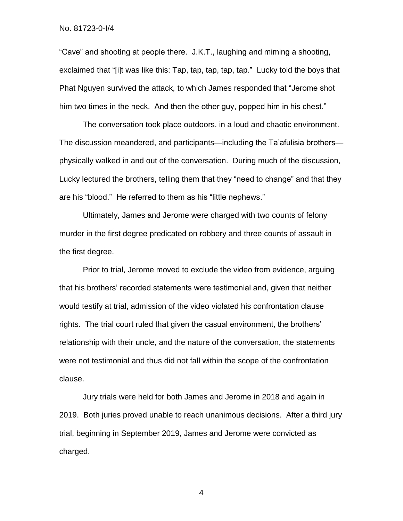"Cave" and shooting at people there. J.K.T., laughing and miming a shooting, exclaimed that "[i]t was like this: Tap, tap, tap, tap, tap." Lucky told the boys that Phat Nguyen survived the attack, to which James responded that "Jerome shot him two times in the neck. And then the other guy, popped him in his chest."

The conversation took place outdoors, in a loud and chaotic environment. The discussion meandered, and participants—including the Ta'afulisia brothers physically walked in and out of the conversation. During much of the discussion, Lucky lectured the brothers, telling them that they "need to change" and that they are his "blood." He referred to them as his "little nephews."

Ultimately, James and Jerome were charged with two counts of felony murder in the first degree predicated on robbery and three counts of assault in the first degree.

Prior to trial, Jerome moved to exclude the video from evidence, arguing that his brothers' recorded statements were testimonial and, given that neither would testify at trial, admission of the video violated his confrontation clause rights. The trial court ruled that given the casual environment, the brothers' relationship with their uncle, and the nature of the conversation, the statements were not testimonial and thus did not fall within the scope of the confrontation clause.

Jury trials were held for both James and Jerome in 2018 and again in 2019. Both juries proved unable to reach unanimous decisions. After a third jury trial, beginning in September 2019, James and Jerome were convicted as charged.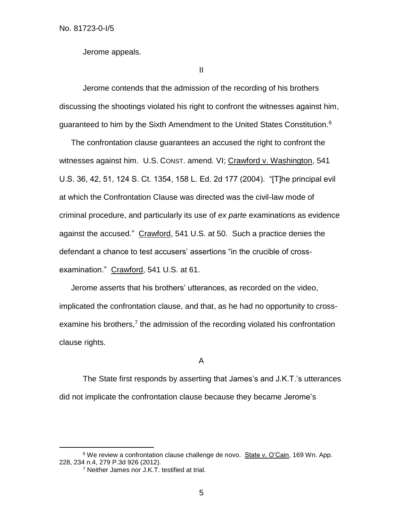Jerome appeals.

II

Jerome contends that the admission of the recording of his brothers discussing the shootings violated his right to confront the witnesses against him, guaranteed to him by the Sixth Amendment to the United States Constitution.<sup>6</sup>

The confrontation clause guarantees an accused the right to confront the witnesses against him. U.S. CONST. amend. VI; Crawford v. Washington, 541 U.S. 36, 42, 51, 124 S. Ct. 1354, 158 L. Ed. 2d 177 (2004). "[T]he principal evil at which the Confrontation Clause was directed was the civil-law mode of criminal procedure, and particularly its use of *ex parte* examinations as evidence against the accused." Crawford, 541 U.S. at 50. Such a practice denies the defendant a chance to test accusers' assertions "in the crucible of crossexamination." Crawford, 541 U.S. at 61.

Jerome asserts that his brothers' utterances, as recorded on the video, implicated the confrontation clause, and that, as he had no opportunity to crossexamine his brothers, $7$  the admission of the recording violated his confrontation clause rights.

A

The State first responds by asserting that James's and J.K.T.'s utterances did not implicate the confrontation clause because they became Jerome's

 $\overline{a}$ 

<sup>6</sup> We review a confrontation clause challenge de novo. State v. O'Cain, 169 Wn. App. 228, 234 n.4, 279 P.3d 926 (2012).

<sup>7</sup> Neither James nor J.K.T. testified at trial.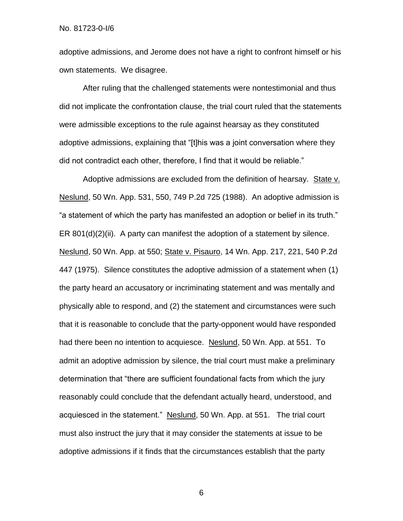adoptive admissions, and Jerome does not have a right to confront himself or his own statements. We disagree.

After ruling that the challenged statements were nontestimonial and thus did not implicate the confrontation clause, the trial court ruled that the statements were admissible exceptions to the rule against hearsay as they constituted adoptive admissions, explaining that "[t]his was a joint conversation where they did not contradict each other, therefore, I find that it would be reliable."

Adoptive admissions are excluded from the definition of hearsay. State v. Neslund, 50 Wn. App. 531, 550, 749 P.2d 725 (1988). An adoptive admission is "a statement of which the party has manifested an adoption or belief in its truth." ER 801(d)(2)(ii). A party can manifest the adoption of a statement by silence. Neslund, 50 Wn. App. at 550; State v. Pisauro, 14 Wn. App. 217, 221, 540 P.2d 447 (1975). Silence constitutes the adoptive admission of a statement when (1) the party heard an accusatory or incriminating statement and was mentally and physically able to respond, and (2) the statement and circumstances were such that it is reasonable to conclude that the party-opponent would have responded had there been no intention to acquiesce. Neslund, 50 Wn. App. at 551. To admit an adoptive admission by silence, the trial court must make a preliminary determination that "there are sufficient foundational facts from which the jury reasonably could conclude that the defendant actually heard, understood, and acquiesced in the statement." Neslund, 50 Wn. App. at 551. The trial court must also instruct the jury that it may consider the statements at issue to be adoptive admissions if it finds that the circumstances establish that the party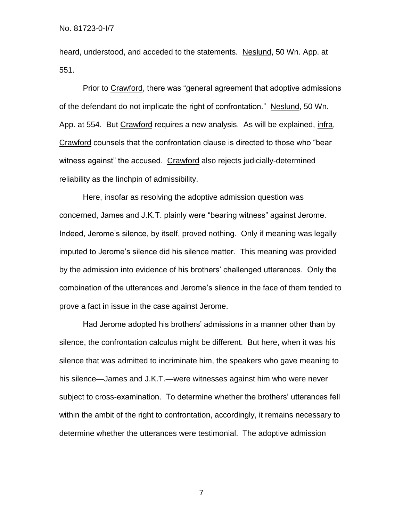heard, understood, and acceded to the statements. Neslund, 50 Wn. App. at 551.

Prior to Crawford, there was "general agreement that adoptive admissions of the defendant do not implicate the right of confrontation." Neslund, 50 Wn. App. at 554. But Crawford requires a new analysis. As will be explained, infra, Crawford counsels that the confrontation clause is directed to those who "bear witness against" the accused. Crawford also rejects judicially-determined reliability as the linchpin of admissibility.

Here, insofar as resolving the adoptive admission question was concerned, James and J.K.T. plainly were "bearing witness" against Jerome. Indeed, Jerome's silence, by itself, proved nothing. Only if meaning was legally imputed to Jerome's silence did his silence matter. This meaning was provided by the admission into evidence of his brothers' challenged utterances. Only the combination of the utterances and Jerome's silence in the face of them tended to prove a fact in issue in the case against Jerome.

Had Jerome adopted his brothers' admissions in a manner other than by silence, the confrontation calculus might be different. But here, when it was his silence that was admitted to incriminate him, the speakers who gave meaning to his silence—James and J.K.T.—were witnesses against him who were never subject to cross-examination. To determine whether the brothers' utterances fell within the ambit of the right to confrontation, accordingly, it remains necessary to determine whether the utterances were testimonial. The adoptive admission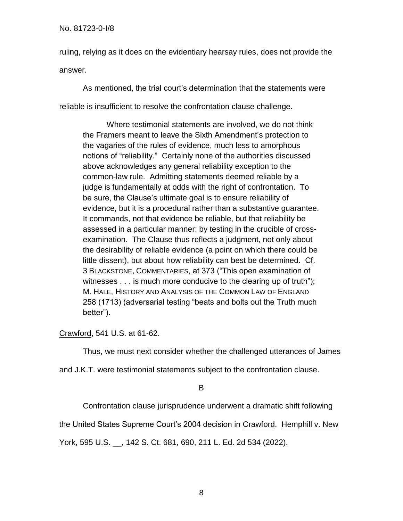ruling, relying as it does on the evidentiary hearsay rules, does not provide the answer.

As mentioned, the trial court's determination that the statements were reliable is insufficient to resolve the confrontation clause challenge.

Where testimonial statements are involved, we do not think the Framers meant to leave the Sixth Amendment's protection to the vagaries of the rules of evidence, much less to amorphous notions of "reliability." Certainly none of the authorities discussed above acknowledges any general reliability exception to the common-law rule. Admitting statements deemed reliable by a judge is fundamentally at odds with the right of confrontation. To be sure, the Clause's ultimate goal is to ensure reliability of evidence, but it is a procedural rather than a substantive guarantee. It commands, not that evidence be reliable, but that reliability be assessed in a particular manner: by testing in the crucible of crossexamination. The Clause thus reflects a judgment, not only about the desirability of reliable evidence (a point on which there could be little dissent), but about how reliability can best be determined. Cf. 3 BLACKSTONE, COMMENTARIES, at 373 ("This open examination of witnesses . . . is much more conducive to the clearing up of truth"); M. HALE, HISTORY AND ANALYSIS OF THE COMMON LAW OF ENGLAND 258 (1713) (adversarial testing "beats and bolts out the Truth much better").

Crawford, 541 U.S. at 61-62.

Thus, we must next consider whether the challenged utterances of James

and J.K.T. were testimonial statements subject to the confrontation clause.

B

Confrontation clause jurisprudence underwent a dramatic shift following

the United States Supreme Court's 2004 decision in Crawford. Hemphill v. New

York, 595 U.S. \_\_, 142 S. Ct. 681, 690, 211 L. Ed. 2d 534 (2022).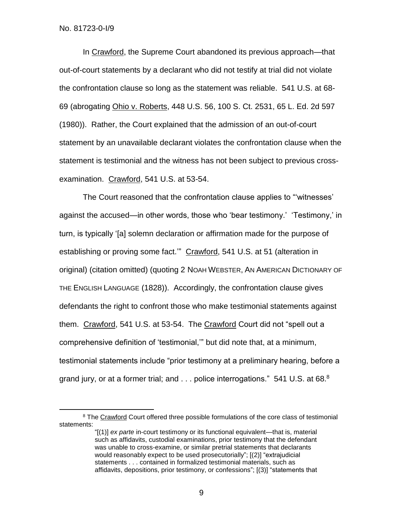$\overline{a}$ 

In Crawford, the Supreme Court abandoned its previous approach—that out-of-court statements by a declarant who did not testify at trial did not violate the confrontation clause so long as the statement was reliable. 541 U.S. at 68- 69 (abrogating Ohio v. Roberts, 448 U.S. 56, 100 S. Ct. 2531, 65 L. Ed. 2d 597 (1980)). Rather, the Court explained that the admission of an out-of-court statement by an unavailable declarant violates the confrontation clause when the statement is testimonial and the witness has not been subject to previous crossexamination. Crawford, 541 U.S. at 53-54.

The Court reasoned that the confrontation clause applies to "'witnesses' against the accused—in other words, those who 'bear testimony.' 'Testimony,' in turn, is typically '[a] solemn declaration or affirmation made for the purpose of establishing or proving some fact.'" Crawford, 541 U.S. at 51 (alteration in original) (citation omitted) (quoting 2 NOAH WEBSTER, AN AMERICAN DICTIONARY OF THE ENGLISH LANGUAGE (1828)). Accordingly, the confrontation clause gives defendants the right to confront those who make testimonial statements against them. Crawford, 541 U.S. at 53-54. The Crawford Court did not "spell out a comprehensive definition of 'testimonial,'" but did note that, at a minimum, testimonial statements include "prior testimony at a preliminary hearing, before a grand jury, or at a former trial; and  $\ldots$  police interrogations." 541 U.S. at 68. $8$ 

<sup>&</sup>lt;sup>8</sup> The Crawford Court offered three possible formulations of the core class of testimonial statements:

<sup>&</sup>quot;[(1)] *ex parte* in-court testimony or its functional equivalent—that is, material such as affidavits, custodial examinations, prior testimony that the defendant was unable to cross-examine, or similar pretrial statements that declarants would reasonably expect to be used prosecutorially"; [(2)] "extrajudicial statements . . . contained in formalized testimonial materials, such as affidavits, depositions, prior testimony, or confessions"; [(3)] "statements that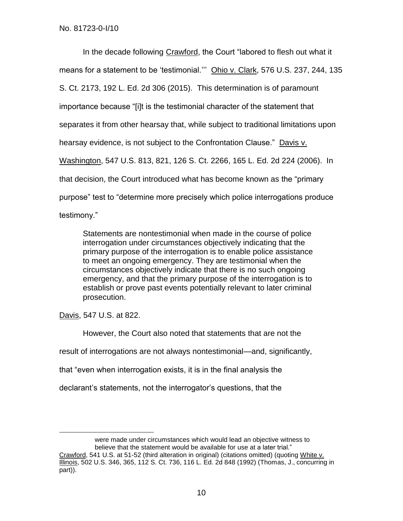In the decade following Crawford, the Court "labored to flesh out what it means for a statement to be 'testimonial."" Ohio v. Clark, 576 U.S. 237, 244, 135 S. Ct. 2173, 192 L. Ed. 2d 306 (2015). This determination is of paramount importance because "[i]t is the testimonial character of the statement that separates it from other hearsay that, while subject to traditional limitations upon hearsay evidence, is not subject to the Confrontation Clause." Davis v. Washington, 547 U.S. 813, 821, 126 S. Ct. 2266, 165 L. Ed. 2d 224 (2006). In that decision, the Court introduced what has become known as the "primary purpose" test to "determine more precisely which police interrogations produce testimony."

Statements are nontestimonial when made in the course of police interrogation under circumstances objectively indicating that the primary purpose of the interrogation is to enable police assistance to meet an ongoing emergency. They are testimonial when the circumstances objectively indicate that there is no such ongoing emergency, and that the primary purpose of the interrogation is to establish or prove past events potentially relevant to later criminal prosecution.

Davis, 547 U.S. at 822.

 $\overline{a}$ 

However, the Court also noted that statements that are not the

result of interrogations are not always nontestimonial—and, significantly,

that "even when interrogation exists, it is in the final analysis the

declarant's statements, not the interrogator's questions, that the

were made under circumstances which would lead an objective witness to believe that the statement would be available for use at a later trial."

Crawford, 541 U.S. at 51-52 (third alteration in original) (citations omitted) (quoting White v. Illinois, 502 U.S. 346, 365, 112 S. Ct. 736, 116 L. Ed. 2d 848 (1992) (Thomas, J., concurring in part)).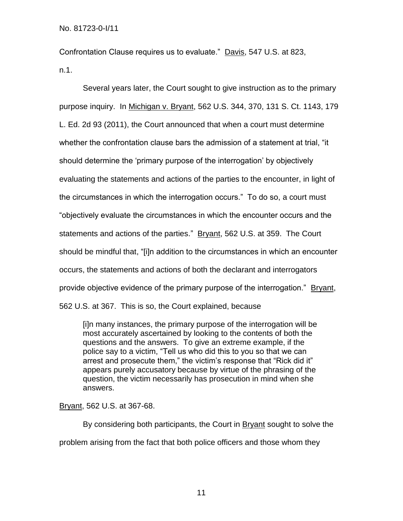Confrontation Clause requires us to evaluate." Davis, 547 U.S. at 823, n.1.

Several years later, the Court sought to give instruction as to the primary purpose inquiry. In Michigan v. Bryant, 562 U.S. 344, 370, 131 S. Ct. 1143, 179 L. Ed. 2d 93 (2011), the Court announced that when a court must determine whether the confrontation clause bars the admission of a statement at trial, "it should determine the 'primary purpose of the interrogation' by objectively evaluating the statements and actions of the parties to the encounter, in light of the circumstances in which the interrogation occurs." To do so, a court must "objectively evaluate the circumstances in which the encounter occurs and the statements and actions of the parties." Bryant, 562 U.S. at 359. The Court should be mindful that, "[i]n addition to the circumstances in which an encounter occurs, the statements and actions of both the declarant and interrogators provide objective evidence of the primary purpose of the interrogation." Bryant, 562 U.S. at 367. This is so, the Court explained, because

[i]n many instances, the primary purpose of the interrogation will be most accurately ascertained by looking to the contents of both the questions and the answers. To give an extreme example, if the police say to a victim, "Tell us who did this to you so that we can arrest and prosecute them," the victim's response that "Rick did it" appears purely accusatory because by virtue of the phrasing of the question, the victim necessarily has prosecution in mind when she answers.

Bryant, 562 U.S. at 367-68.

By considering both participants, the Court in Bryant sought to solve the problem arising from the fact that both police officers and those whom they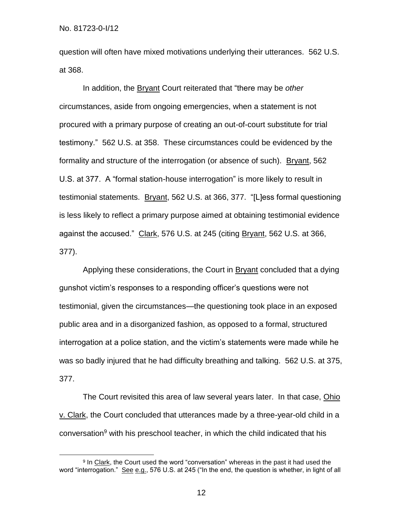$\overline{a}$ 

question will often have mixed motivations underlying their utterances. 562 U.S. at 368.

In addition, the Bryant Court reiterated that "there may be *other* circumstances, aside from ongoing emergencies, when a statement is not procured with a primary purpose of creating an out-of-court substitute for trial testimony." 562 U.S. at 358. These circumstances could be evidenced by the formality and structure of the interrogation (or absence of such). Bryant, 562 U.S. at 377. A "formal station-house interrogation" is more likely to result in testimonial statements. Bryant, 562 U.S. at 366, 377. "[L]ess formal questioning is less likely to reflect a primary purpose aimed at obtaining testimonial evidence against the accused." Clark, 576 U.S. at 245 (citing Bryant, 562 U.S. at 366, 377).

Applying these considerations, the Court in Bryant concluded that a dying gunshot victim's responses to a responding officer's questions were not testimonial, given the circumstances—the questioning took place in an exposed public area and in a disorganized fashion, as opposed to a formal, structured interrogation at a police station, and the victim's statements were made while he was so badly injured that he had difficulty breathing and talking. 562 U.S. at 375, 377.

The Court revisited this area of law several years later. In that case, Ohio v. Clark, the Court concluded that utterances made by a three-year-old child in a conversation<sup>9</sup> with his preschool teacher, in which the child indicated that his

<sup>&</sup>lt;sup>9</sup> In Clark, the Court used the word "conversation" whereas in the past it had used the word "interrogation." See e.g., 576 U.S. at 245 ("In the end, the question is whether, in light of all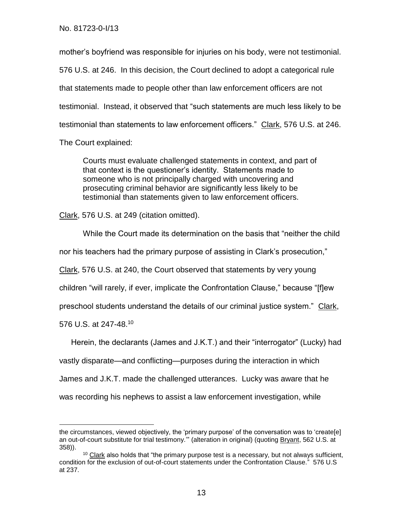mother's boyfriend was responsible for injuries on his body, were not testimonial. 576 U.S. at 246. In this decision, the Court declined to adopt a categorical rule that statements made to people other than law enforcement officers are not testimonial. Instead, it observed that "such statements are much less likely to be testimonial than statements to law enforcement officers." Clark, 576 U.S. at 246.

The Court explained:

 $\overline{a}$ 

Courts must evaluate challenged statements in context, and part of that context is the questioner's identity. Statements made to someone who is not principally charged with uncovering and prosecuting criminal behavior are significantly less likely to be testimonial than statements given to law enforcement officers.

Clark, 576 U.S. at 249 (citation omitted).

While the Court made its determination on the basis that "neither the child nor his teachers had the primary purpose of assisting in Clark's prosecution," Clark, 576 U.S. at 240, the Court observed that statements by very young children "will rarely, if ever, implicate the Confrontation Clause," because "[f]ew preschool students understand the details of our criminal justice system." Clark, 576 U.S. at 247-48.<sup>10</sup>

Herein, the declarants (James and J.K.T.) and their "interrogator" (Lucky) had

vastly disparate—and conflicting—purposes during the interaction in which

James and J.K.T. made the challenged utterances. Lucky was aware that he

was recording his nephews to assist a law enforcement investigation, while

the circumstances, viewed objectively, the 'primary purpose' of the conversation was to 'create[e] an out-of-court substitute for trial testimony.'" (alteration in original) (quoting Bryant, 562 U.S. at 358)).

 $10$  Clark also holds that "the primary purpose test is a necessary, but not always sufficient, condition for the exclusion of out-of-court statements under the Confrontation Clause." 576 U.S at 237.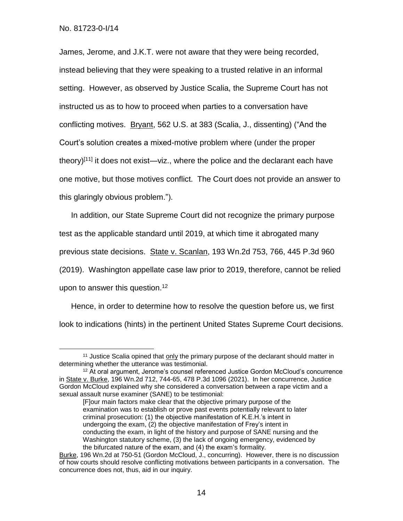$\overline{a}$ 

James, Jerome, and J.K.T. were not aware that they were being recorded, instead believing that they were speaking to a trusted relative in an informal setting. However, as observed by Justice Scalia, the Supreme Court has not instructed us as to how to proceed when parties to a conversation have conflicting motives. Bryant, 562 U.S. at 383 (Scalia, J., dissenting) ("And the Court's solution creates a mixed-motive problem where (under the proper theory)<sup>[11]</sup> it does not exist—viz., where the police and the declarant each have one motive, but those motives conflict. The Court does not provide an answer to this glaringly obvious problem.").

In addition, our State Supreme Court did not recognize the primary purpose test as the applicable standard until 2019, at which time it abrogated many previous state decisions. State v. Scanlan, 193 Wn.2d 753, 766, 445 P.3d 960 (2019). Washington appellate case law prior to 2019, therefore, cannot be relied upon to answer this question.<sup>12</sup>

Hence, in order to determine how to resolve the question before us, we first look to indications (hints) in the pertinent United States Supreme Court decisions.

[F]our main factors make clear that the objective primary purpose of the examination was to establish or prove past events potentially relevant to later criminal prosecution: (1) the objective manifestation of K.E.H.'s intent in undergoing the exam, (2) the objective manifestation of Frey's intent in conducting the exam, in light of the history and purpose of SANE nursing and the Washington statutory scheme, (3) the lack of ongoing emergency, evidenced by the bifurcated nature of the exam, and (4) the exam's formality.

<sup>&</sup>lt;sup>11</sup> Justice Scalia opined that only the primary purpose of the declarant should matter in determining whether the utterance was testimonial.

<sup>12</sup> At oral argument, Jerome's counsel referenced Justice Gordon McCloud's concurrence in State v. Burke, 196 Wn.2d 712, 744-65, 478 P.3d 1096 (2021). In her concurrence, Justice Gordon McCloud explained why she considered a conversation between a rape victim and a sexual assault nurse examiner (SANE) to be testimonial:

Burke, 196 Wn.2d at 750-51 (Gordon McCloud, J., concurring). However, there is no discussion of how courts should resolve conflicting motivations between participants in a conversation. The concurrence does not, thus, aid in our inquiry.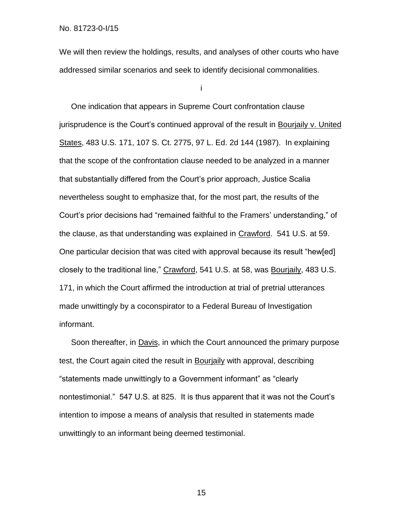We will then review the holdings, results, and analyses of other courts who have addressed similar scenarios and seek to identify decisional commonalities.

i

One indication that appears in Supreme Court confrontation clause jurisprudence is the Court's continued approval of the result in Bourjaily v. United States, 483 U.S. 171, 107 S. Ct. 2775, 97 L. Ed. 2d 144 (1987). In explaining that the scope of the confrontation clause needed to be analyzed in a manner that substantially differed from the Court's prior approach, Justice Scalia nevertheless sought to emphasize that, for the most part, the results of the Court's prior decisions had "remained faithful to the Framers' understanding," of the clause, as that understanding was explained in Crawford. 541 U.S. at 59. One particular decision that was cited with approval because its result "hew[ed] closely to the traditional line," Crawford, 541 U.S. at 58, was Bourjaily, 483 U.S. 171, in which the Court affirmed the introduction at trial of pretrial utterances made unwittingly by a coconspirator to a Federal Bureau of Investigation informant.

Soon thereafter, in Davis, in which the Court announced the primary purpose test, the Court again cited the result in Bourjaily with approval, describing "statements made unwittingly to a Government informant" as "clearly nontestimonial." 547 U.S. at 825. It is thus apparent that it was not the Court's intention to impose a means of analysis that resulted in statements made unwittingly to an informant being deemed testimonial.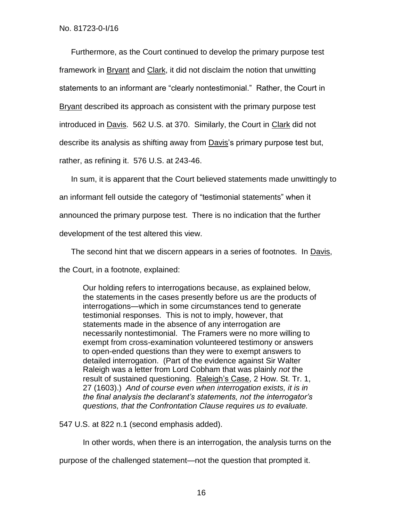Furthermore, as the Court continued to develop the primary purpose test framework in Bryant and Clark, it did not disclaim the notion that unwitting statements to an informant are "clearly nontestimonial." Rather, the Court in Bryant described its approach as consistent with the primary purpose test introduced in Davis. 562 U.S. at 370. Similarly, the Court in Clark did not describe its analysis as shifting away from **Davis's primary purpose test but**, rather, as refining it. 576 U.S. at 243-46.

In sum, it is apparent that the Court believed statements made unwittingly to

an informant fell outside the category of "testimonial statements" when it

announced the primary purpose test. There is no indication that the further

development of the test altered this view.

The second hint that we discern appears in a series of footnotes. In Davis,

the Court, in a footnote, explained:

Our holding refers to interrogations because, as explained below, the statements in the cases presently before us are the products of interrogations—which in some circumstances tend to generate testimonial responses. This is not to imply, however, that statements made in the absence of any interrogation are necessarily nontestimonial. The Framers were no more willing to exempt from cross-examination volunteered testimony or answers to open-ended questions than they were to exempt answers to detailed interrogation. (Part of the evidence against Sir Walter Raleigh was a letter from Lord Cobham that was plainly *not* the result of sustained questioning. Raleigh's Case, 2 How. St. Tr. 1, 27 (1603).) *And of course even when interrogation exists, it is in the final analysis the declarant's statements, not the interrogator's questions, that the Confrontation Clause requires us to evaluate.* 

547 U.S. at 822 n.1 (second emphasis added).

In other words, when there is an interrogation, the analysis turns on the

purpose of the challenged statement—not the question that prompted it.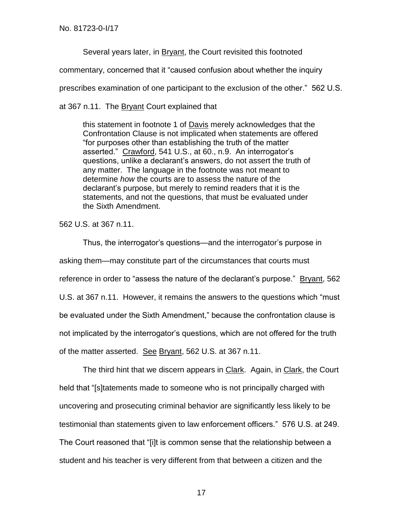Several years later, in Bryant, the Court revisited this footnoted

commentary, concerned that it "caused confusion about whether the inquiry

prescribes examination of one participant to the exclusion of the other." 562 U.S.

at 367 n.11. The **Bryant Court explained that** 

this statement in footnote 1 of Davis merely acknowledges that the Confrontation Clause is not implicated when statements are offered "for purposes other than establishing the truth of the matter asserted." Crawford, 541 U.S., at 60., n.9. An interrogator's questions, unlike a declarant's answers, do not assert the truth of any matter. The language in the footnote was not meant to determine *how* the courts are to assess the nature of the declarant's purpose, but merely to remind readers that it is the statements, and not the questions, that must be evaluated under the Sixth Amendment.

562 U.S. at 367 n.11.

Thus, the interrogator's questions—and the interrogator's purpose in asking them—may constitute part of the circumstances that courts must reference in order to "assess the nature of the declarant's purpose." Bryant, 562 U.S. at 367 n.11. However, it remains the answers to the questions which "must be evaluated under the Sixth Amendment," because the confrontation clause is not implicated by the interrogator's questions, which are not offered for the truth of the matter asserted. See Bryant, 562 U.S. at 367 n.11.

The third hint that we discern appears in Clark. Again, in Clark, the Court held that "[s]tatements made to someone who is not principally charged with uncovering and prosecuting criminal behavior are significantly less likely to be testimonial than statements given to law enforcement officers." 576 U.S. at 249. The Court reasoned that "[i]t is common sense that the relationship between a student and his teacher is very different from that between a citizen and the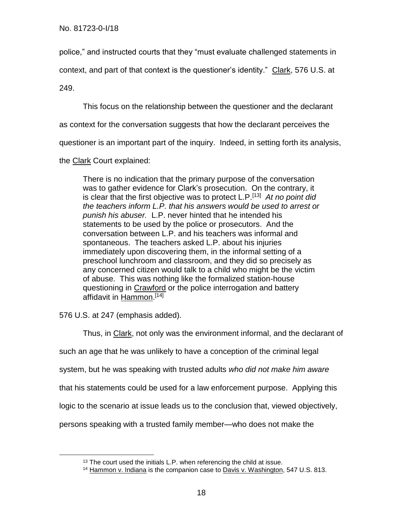police," and instructed courts that they "must evaluate challenged statements in

context, and part of that context is the questioner's identity." Clark, 576 U.S. at

249.

 $\overline{a}$ 

This focus on the relationship between the questioner and the declarant

as context for the conversation suggests that how the declarant perceives the

questioner is an important part of the inquiry. Indeed, in setting forth its analysis,

the Clark Court explained:

There is no indication that the primary purpose of the conversation was to gather evidence for Clark's prosecution. On the contrary, it is clear that the first objective was to protect L.P.[13] *At no point did the teachers inform L.P. that his answers would be used to arrest or punish his abuser.* L.P. never hinted that he intended his statements to be used by the police or prosecutors. And the conversation between L.P. and his teachers was informal and spontaneous. The teachers asked L.P. about his injuries immediately upon discovering them, in the informal setting of a preschool lunchroom and classroom, and they did so precisely as any concerned citizen would talk to a child who might be the victim of abuse. This was nothing like the formalized station-house questioning in Crawford or the police interrogation and battery affidavit in <u>Hammon.[14]</u>

576 U.S. at 247 (emphasis added).

Thus, in Clark, not only was the environment informal, and the declarant of such an age that he was unlikely to have a conception of the criminal legal system, but he was speaking with trusted adults *who did not make him aware* that his statements could be used for a law enforcement purpose. Applying this logic to the scenario at issue leads us to the conclusion that, viewed objectively, persons speaking with a trusted family member—who does not make the

<sup>&</sup>lt;sup>13</sup> The court used the initials L.P. when referencing the child at issue.

<sup>&</sup>lt;sup>14</sup> Hammon v. Indiana is the companion case to Davis v. Washington, 547 U.S. 813.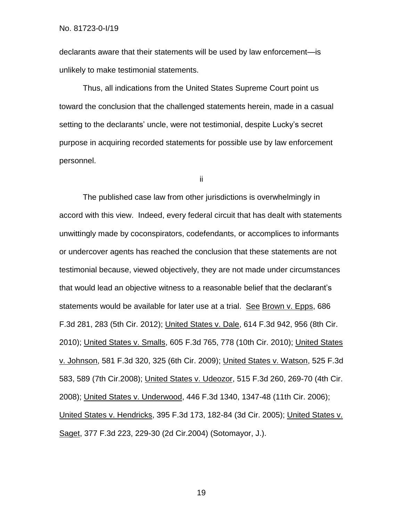declarants aware that their statements will be used by law enforcement—is unlikely to make testimonial statements.

Thus, all indications from the United States Supreme Court point us toward the conclusion that the challenged statements herein, made in a casual setting to the declarants' uncle, were not testimonial, despite Lucky's secret purpose in acquiring recorded statements for possible use by law enforcement personnel.

ii

The published case law from other jurisdictions is overwhelmingly in accord with this view. Indeed, every federal circuit that has dealt with statements unwittingly made by coconspirators, codefendants, or accomplices to informants or undercover agents has reached the conclusion that these statements are not testimonial because, viewed objectively, they are not made under circumstances that would lead an objective witness to a reasonable belief that the declarant's statements would be available for later use at a trial. See Brown v. Epps, 686 F.3d 281, 283 (5th Cir. 2012); United States v. Dale, 614 F.3d 942, 956 (8th Cir. 2010); United States v. Smalls, 605 F.3d 765, 778 (10th Cir. 2010); United States v. Johnson, 581 F.3d 320, 325 (6th Cir. 2009); United States v. Watson, 525 F.3d 583, 589 (7th Cir.2008); United States v. Udeozor, 515 F.3d 260, 269-70 (4th Cir. 2008); United States v. Underwood, 446 F.3d 1340, 1347-48 (11th Cir. 2006); United States v. Hendricks, 395 F.3d 173, 182-84 (3d Cir. 2005); United States v. Saget, 377 F.3d 223, 229-30 (2d Cir.2004) (Sotomayor, J.).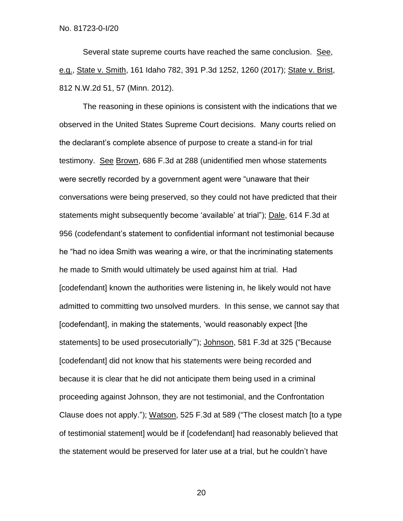Several state supreme courts have reached the same conclusion. See, e.g., State v. Smith, 161 Idaho 782, 391 P.3d 1252, 1260 (2017); State v. Brist, 812 N.W.2d 51, 57 (Minn. 2012).

The reasoning in these opinions is consistent with the indications that we observed in the United States Supreme Court decisions. Many courts relied on the declarant's complete absence of purpose to create a stand-in for trial testimony. See Brown, 686 F.3d at 288 (unidentified men whose statements were secretly recorded by a government agent were "unaware that their conversations were being preserved, so they could not have predicted that their statements might subsequently become 'available' at trial"); Dale, 614 F.3d at 956 (codefendant's statement to confidential informant not testimonial because he "had no idea Smith was wearing a wire, or that the incriminating statements he made to Smith would ultimately be used against him at trial. Had [codefendant] known the authorities were listening in, he likely would not have admitted to committing two unsolved murders. In this sense, we cannot say that [codefendant], in making the statements, 'would reasonably expect [the statements] to be used prosecutorially'"); Johnson, 581 F.3d at 325 ("Because [codefendant] did not know that his statements were being recorded and because it is clear that he did not anticipate them being used in a criminal proceeding against Johnson, they are not testimonial, and the Confrontation Clause does not apply."); Watson, 525 F.3d at 589 ("The closest match [to a type of testimonial statement] would be if [codefendant] had reasonably believed that the statement would be preserved for later use at a trial, but he couldn't have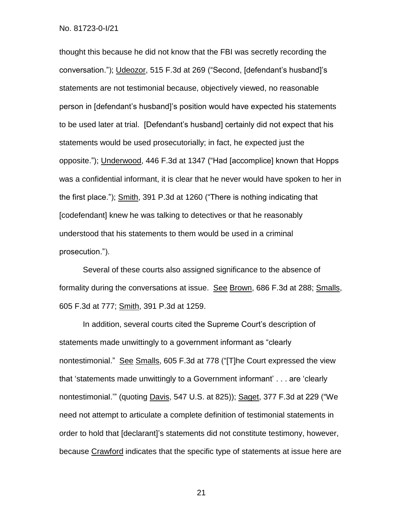thought this because he did not know that the FBI was secretly recording the conversation."); Udeozor, 515 F.3d at 269 ("Second, [defendant's husband]'s statements are not testimonial because, objectively viewed, no reasonable person in [defendant's husband]'s position would have expected his statements to be used later at trial. [Defendant's husband] certainly did not expect that his statements would be used prosecutorially; in fact, he expected just the opposite."); Underwood, 446 F.3d at 1347 ("Had [accomplice] known that Hopps was a confidential informant, it is clear that he never would have spoken to her in the first place."); Smith, 391 P.3d at 1260 ("There is nothing indicating that [codefendant] knew he was talking to detectives or that he reasonably understood that his statements to them would be used in a criminal prosecution.").

Several of these courts also assigned significance to the absence of formality during the conversations at issue. See Brown, 686 F.3d at 288; Smalls, 605 F.3d at 777; Smith, 391 P.3d at 1259.

In addition, several courts cited the Supreme Court's description of statements made unwittingly to a government informant as "clearly nontestimonial." See Smalls, 605 F.3d at 778 ("[T]he Court expressed the view that 'statements made unwittingly to a Government informant' . . . are 'clearly nontestimonial." (quoting Davis, 547 U.S. at 825)); Saget, 377 F.3d at 229 ("We need not attempt to articulate a complete definition of testimonial statements in order to hold that [declarant]'s statements did not constitute testimony, however, because Crawford indicates that the specific type of statements at issue here are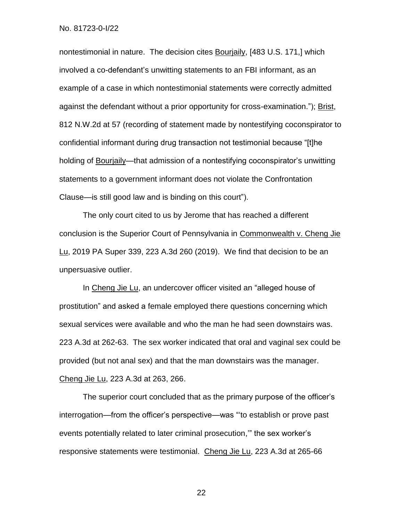nontestimonial in nature. The decision cites Bourjaily, [483 U.S. 171,] which involved a co-defendant's unwitting statements to an FBI informant, as an example of a case in which nontestimonial statements were correctly admitted against the defendant without a prior opportunity for cross-examination."); Brist, 812 N.W.2d at 57 (recording of statement made by nontestifying coconspirator to confidential informant during drug transaction not testimonial because "[t]he holding of Bourjaily—that admission of a nontestifying coconspirator's unwitting statements to a government informant does not violate the Confrontation Clause—is still good law and is binding on this court").

The only court cited to us by Jerome that has reached a different conclusion is the Superior Court of Pennsylvania in Commonwealth v. Cheng Jie Lu, 2019 PA Super 339, 223 A.3d 260 (2019). We find that decision to be an unpersuasive outlier.

In Cheng Jie Lu, an undercover officer visited an "alleged house of prostitution" and asked a female employed there questions concerning which sexual services were available and who the man he had seen downstairs was. 223 A.3d at 262-63. The sex worker indicated that oral and vaginal sex could be provided (but not anal sex) and that the man downstairs was the manager. Cheng Jie Lu, 223 A.3d at 263, 266.

The superior court concluded that as the primary purpose of the officer's interrogation—from the officer's perspective—was "'to establish or prove past events potentially related to later criminal prosecution,'" the sex worker's responsive statements were testimonial. Cheng Jie Lu, 223 A.3d at 265-66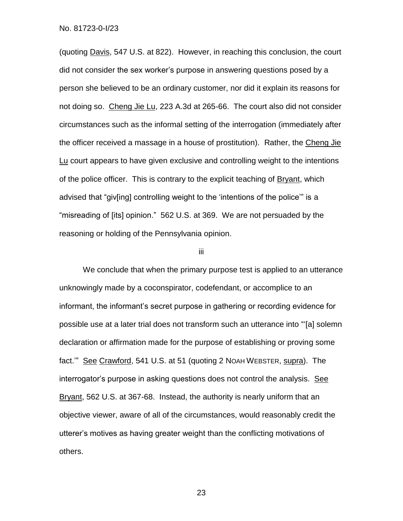(quoting Davis, 547 U.S. at 822). However, in reaching this conclusion, the court did not consider the sex worker's purpose in answering questions posed by a person she believed to be an ordinary customer, nor did it explain its reasons for not doing so. Cheng Jie Lu, 223 A.3d at 265-66. The court also did not consider circumstances such as the informal setting of the interrogation (immediately after the officer received a massage in a house of prostitution). Rather, the Cheng Jie Lu court appears to have given exclusive and controlling weight to the intentions of the police officer. This is contrary to the explicit teaching of Bryant, which advised that "giv[ing] controlling weight to the 'intentions of the police'" is a "misreading of [its] opinion." 562 U.S. at 369. We are not persuaded by the reasoning or holding of the Pennsylvania opinion.

## iii

We conclude that when the primary purpose test is applied to an utterance unknowingly made by a coconspirator, codefendant, or accomplice to an informant, the informant's secret purpose in gathering or recording evidence for possible use at a later trial does not transform such an utterance into "'[a] solemn declaration or affirmation made for the purpose of establishing or proving some fact.'" See Crawford, 541 U.S. at 51 (quoting 2 NOAH WEBSTER, supra). The interrogator's purpose in asking questions does not control the analysis. See Bryant, 562 U.S. at 367-68. Instead, the authority is nearly uniform that an objective viewer, aware of all of the circumstances, would reasonably credit the utterer's motives as having greater weight than the conflicting motivations of others.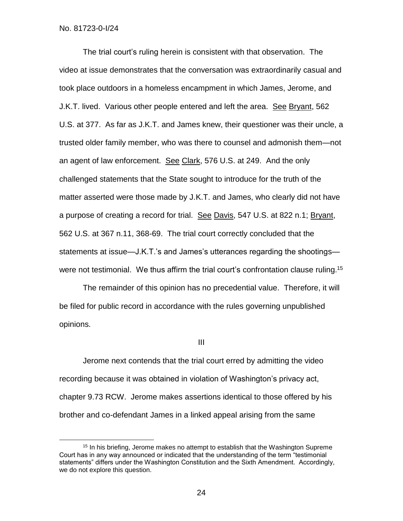$\overline{a}$ 

The trial court's ruling herein is consistent with that observation. The video at issue demonstrates that the conversation was extraordinarily casual and took place outdoors in a homeless encampment in which James, Jerome, and J.K.T. lived. Various other people entered and left the area. See Bryant, 562 U.S. at 377. As far as J.K.T. and James knew, their questioner was their uncle, a trusted older family member, who was there to counsel and admonish them—not an agent of law enforcement. See Clark, 576 U.S. at 249. And the only challenged statements that the State sought to introduce for the truth of the matter asserted were those made by J.K.T. and James, who clearly did not have a purpose of creating a record for trial. See Davis, 547 U.S. at 822 n.1; Bryant, 562 U.S. at 367 n.11, 368-69. The trial court correctly concluded that the statements at issue—J.K.T.'s and James's utterances regarding the shootings were not testimonial. We thus affirm the trial court's confrontation clause ruling.<sup>15</sup>

The remainder of this opinion has no precedential value. Therefore, it will be filed for public record in accordance with the rules governing unpublished opinions.

III

Jerome next contends that the trial court erred by admitting the video recording because it was obtained in violation of Washington's privacy act, chapter 9.73 RCW. Jerome makes assertions identical to those offered by his brother and co-defendant James in a linked appeal arising from the same

<sup>15</sup> In his briefing, Jerome makes no attempt to establish that the Washington Supreme Court has in any way announced or indicated that the understanding of the term "testimonial statements" differs under the Washington Constitution and the Sixth Amendment. Accordingly, we do not explore this question.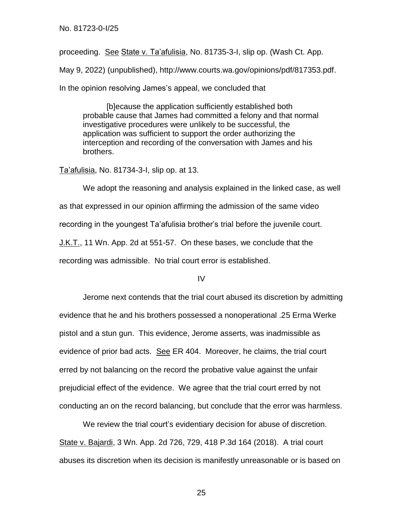proceeding. See State v. Ta'afulisia, No. 81735-3-I, slip op. (Wash Ct. App.

May 9, 2022) (unpublished), http://www.courts.wa.gov/opinions/pdf/817353.pdf.

In the opinion resolving James's appeal, we concluded that

[b]ecause the application sufficiently established both probable cause that James had committed a felony and that normal investigative procedures were unlikely to be successful, the application was sufficient to support the order authorizing the interception and recording of the conversation with James and his brothers.

Ta'afulisia, No. 81734-3-I, slip op. at 13.

We adopt the reasoning and analysis explained in the linked case, as well as that expressed in our opinion affirming the admission of the same video recording in the youngest Ta'afulisia brother's trial before the juvenile court. J.K.T., 11 Wn. App. 2d at 551-57. On these bases, we conclude that the recording was admissible. No trial court error is established.

IV

Jerome next contends that the trial court abused its discretion by admitting evidence that he and his brothers possessed a nonoperational .25 Erma Werke pistol and a stun gun. This evidence, Jerome asserts, was inadmissible as evidence of prior bad acts. See ER 404. Moreover, he claims, the trial court erred by not balancing on the record the probative value against the unfair prejudicial effect of the evidence. We agree that the trial court erred by not conducting an on the record balancing, but conclude that the error was harmless.

We review the trial court's evidentiary decision for abuse of discretion. State v. Bajardi, 3 Wn. App. 2d 726, 729, 418 P.3d 164 (2018). A trial court abuses its discretion when its decision is manifestly unreasonable or is based on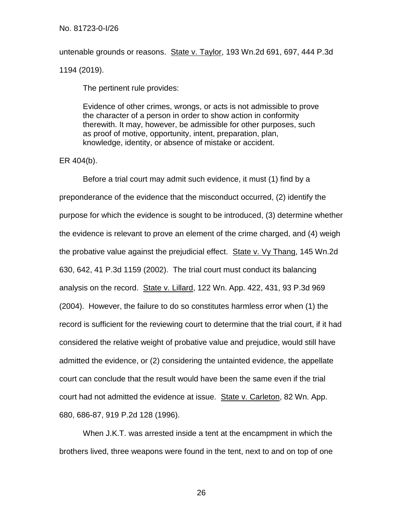untenable grounds or reasons. State v. Taylor, 193 Wn.2d 691, 697, 444 P.3d 1194 (2019).

The pertinent rule provides:

Evidence of other crimes, wrongs, or acts is not admissible to prove the character of a person in order to show action in conformity therewith. It may, however, be admissible for other purposes, such as proof of motive, opportunity, intent, preparation, plan, knowledge, identity, or absence of mistake or accident.

ER 404(b).

Before a trial court may admit such evidence, it must (1) find by a preponderance of the evidence that the misconduct occurred, (2) identify the purpose for which the evidence is sought to be introduced, (3) determine whether the evidence is relevant to prove an element of the crime charged, and (4) weigh the probative value against the prejudicial effect. State v. Vy Thang, 145 Wn.2d 630, 642, 41 P.3d 1159 (2002). The trial court must conduct its balancing analysis on the record. State v. Lillard, 122 Wn. App. 422, 431, 93 P.3d 969 (2004). However, the failure to do so constitutes harmless error when (1) the record is sufficient for the reviewing court to determine that the trial court, if it had considered the relative weight of probative value and prejudice, would still have admitted the evidence, or (2) considering the untainted evidence, the appellate court can conclude that the result would have been the same even if the trial court had not admitted the evidence at issue. State v. Carleton, 82 Wn. App. 680, 686-87, 919 P.2d 128 (1996).

When J.K.T. was arrested inside a tent at the encampment in which the brothers lived, three weapons were found in the tent, next to and on top of one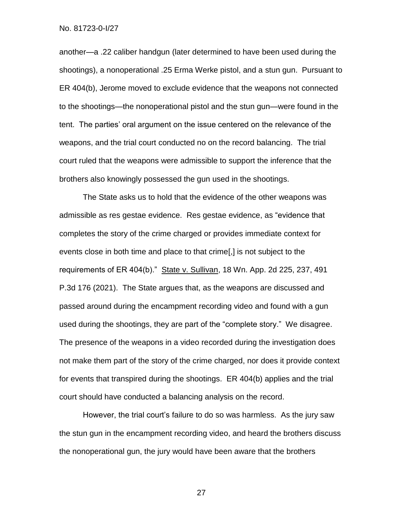another—a .22 caliber handgun (later determined to have been used during the shootings), a nonoperational .25 Erma Werke pistol, and a stun gun. Pursuant to ER 404(b), Jerome moved to exclude evidence that the weapons not connected to the shootings—the nonoperational pistol and the stun gun—were found in the tent. The parties' oral argument on the issue centered on the relevance of the weapons, and the trial court conducted no on the record balancing. The trial court ruled that the weapons were admissible to support the inference that the brothers also knowingly possessed the gun used in the shootings.

The State asks us to hold that the evidence of the other weapons was admissible as res gestae evidence. Res gestae evidence, as "evidence that completes the story of the crime charged or provides immediate context for events close in both time and place to that crime[,] is not subject to the requirements of ER 404(b)." State v. Sullivan, 18 Wn. App. 2d 225, 237, 491 P.3d 176 (2021). The State argues that, as the weapons are discussed and passed around during the encampment recording video and found with a gun used during the shootings, they are part of the "complete story." We disagree. The presence of the weapons in a video recorded during the investigation does not make them part of the story of the crime charged, nor does it provide context for events that transpired during the shootings. ER 404(b) applies and the trial court should have conducted a balancing analysis on the record.

However, the trial court's failure to do so was harmless. As the jury saw the stun gun in the encampment recording video, and heard the brothers discuss the nonoperational gun, the jury would have been aware that the brothers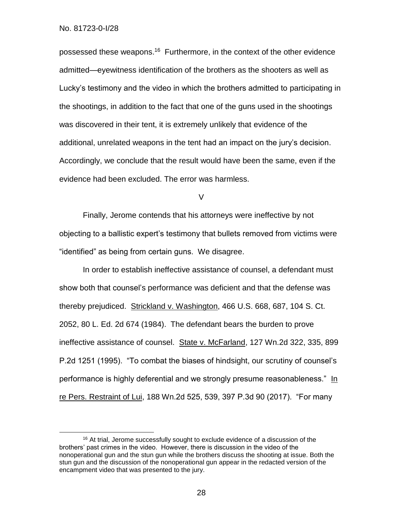$\overline{a}$ 

possessed these weapons.<sup>16</sup> Furthermore, in the context of the other evidence admitted—eyewitness identification of the brothers as the shooters as well as Lucky's testimony and the video in which the brothers admitted to participating in the shootings, in addition to the fact that one of the guns used in the shootings was discovered in their tent, it is extremely unlikely that evidence of the additional, unrelated weapons in the tent had an impact on the jury's decision. Accordingly, we conclude that the result would have been the same, even if the evidence had been excluded. The error was harmless.

V

Finally, Jerome contends that his attorneys were ineffective by not objecting to a ballistic expert's testimony that bullets removed from victims were "identified" as being from certain guns. We disagree.

In order to establish ineffective assistance of counsel, a defendant must show both that counsel's performance was deficient and that the defense was thereby prejudiced. Strickland v. Washington, 466 U.S. 668, 687, 104 S. Ct. 2052, 80 L. Ed. 2d 674 (1984). The defendant bears the burden to prove ineffective assistance of counsel. State v. McFarland, 127 Wn.2d 322, 335, 899 P.2d 1251 (1995). "To combat the biases of hindsight, our scrutiny of counsel's performance is highly deferential and we strongly presume reasonableness." In re Pers. Restraint of Lui, 188 Wn.2d 525, 539, 397 P.3d 90 (2017). "For many

<sup>16</sup> At trial, Jerome successfully sought to exclude evidence of a discussion of the brothers' past crimes in the video. However, there is discussion in the video of the nonoperational gun and the stun gun while the brothers discuss the shooting at issue. Both the stun gun and the discussion of the nonoperational gun appear in the redacted version of the encampment video that was presented to the jury.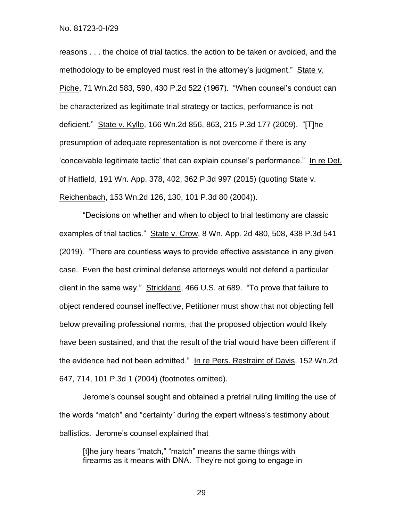reasons . . . the choice of trial tactics, the action to be taken or avoided, and the methodology to be employed must rest in the attorney's judgment." State v. Piche, 71 Wn.2d 583, 590, 430 P.2d 522 (1967). "When counsel's conduct can be characterized as legitimate trial strategy or tactics, performance is not deficient." State v. Kyllo, 166 Wn.2d 856, 863, 215 P.3d 177 (2009). "[T]he presumption of adequate representation is not overcome if there is any 'conceivable legitimate tactic' that can explain counsel's performance." In re Det. of Hatfield, 191 Wn. App. 378, 402, 362 P.3d 997 (2015) (quoting State v. Reichenbach, 153 Wn.2d 126, 130, 101 P.3d 80 (2004)).

"Decisions on whether and when to object to trial testimony are classic examples of trial tactics." State v. Crow, 8 Wn. App. 2d 480, 508, 438 P.3d 541 (2019). "There are countless ways to provide effective assistance in any given case. Even the best criminal defense attorneys would not defend a particular client in the same way." Strickland, 466 U.S. at 689. "To prove that failure to object rendered counsel ineffective, Petitioner must show that not objecting fell below prevailing professional norms, that the proposed objection would likely have been sustained, and that the result of the trial would have been different if the evidence had not been admitted." In re Pers. Restraint of Davis, 152 Wn.2d 647, 714, 101 P.3d 1 (2004) (footnotes omitted).

Jerome's counsel sought and obtained a pretrial ruling limiting the use of the words "match" and "certainty" during the expert witness's testimony about ballistics. Jerome's counsel explained that

[t]he jury hears "match," "match" means the same things with firearms as it means with DNA. They're not going to engage in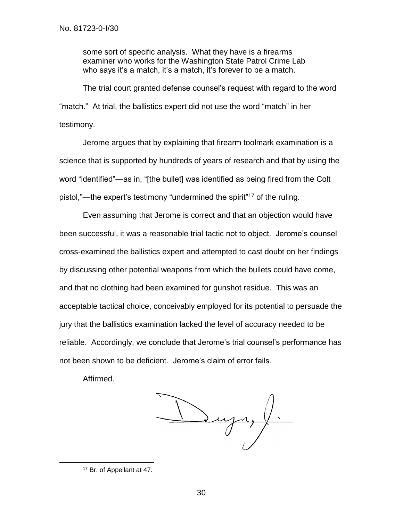some sort of specific analysis. What they have is a firearms examiner who works for the Washington State Patrol Crime Lab who says it's a match, it's a match, it's forever to be a match.

The trial court granted defense counsel's request with regard to the word "match." At trial, the ballistics expert did not use the word "match" in her testimony.

Jerome argues that by explaining that firearm toolmark examination is a science that is supported by hundreds of years of research and that by using the word "identified"—as in, "[the bullet] was identified as being fired from the Colt pistol,"—the expert's testimony "undermined the spirit"<sup>17</sup> of the ruling.

Even assuming that Jerome is correct and that an objection would have been successful, it was a reasonable trial tactic not to object. Jerome's counsel cross-examined the ballistics expert and attempted to cast doubt on her findings by discussing other potential weapons from which the bullets could have come, and that no clothing had been examined for gunshot residue. This was an acceptable tactical choice, conceivably employed for its potential to persuade the jury that the ballistics examination lacked the level of accuracy needed to be reliable. Accordingly, we conclude that Jerome's trial counsel's performance has not been shown to be deficient. Jerome's claim of error fails.

Affirmed.

 $\overline{a}$ 

<sup>17</sup> Br. of Appellant at 47.